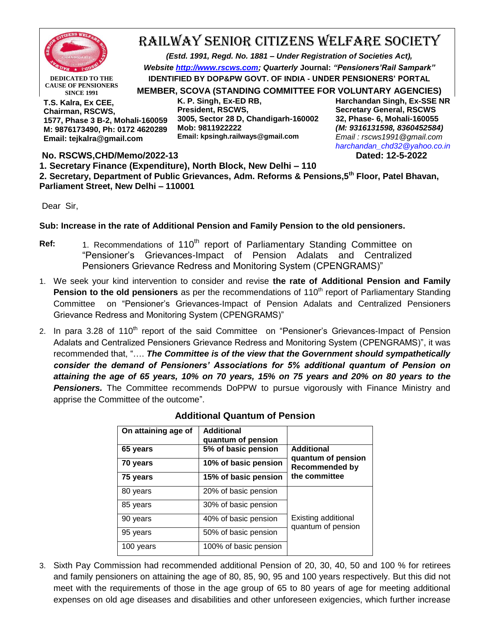

**CAUSE OF PENSIONERS SINCE 1991**

## RAILWAY SENIOR CITIZENS WELFARE SOCIETY

*(Estd. 1991, Regd. No. 1881 – Under Registration of Societies Act), Website [http://www.rscws.com;](http://www.rscws.com/) Quarterly* **Journal:** *"Pensioners'Rail Sampark"* **IDENTIFIED BY DOP&PW GOVT. OF INDIA - UNDER PENSIONERS' PORTAL** 

**MEMBER, SCOVA (STANDING COMMITTEE FOR VOLUNTARY AGENCIES)**

**T.S. Kalra, Ex CEE, Chairman, RSCWS, 1577, Phase 3 B-2, Mohali-160059 M: 9876173490, Ph: 0172 4620289 Email: tejkalra@gmail.com**

**K. P. Singh, Ex-ED RB, President, RSCWS, 3005, Sector 28 D, Chandigarh-160002 Mob: 9811922222 Email: kpsingh.railways@gmail.com**

**Harchandan Singh, Ex-SSE NR Secretary General, RSCWS 32, Phase- 6, Mohali-160055** *(M: 9316131598, 8360452584) Email : rscws1991@gmail.com [harchandan\\_chd32@yahoo.co.in](mailto:harchandan_chd32@yahoo.co.in)*

**No. RSCWS,CHD/Memo/2022-13 Dated: 12-5-2022**

**1. Secretary Finance (Expenditure), North Block, New Delhi – 110**

**2. Secretary, Department of Public Grievances, Adm. Reforms & Pensions,5th Floor, Patel Bhavan, Parliament Street, New Delhi – 110001**

Dear Sir,

## **Sub: Increase in the rate of Additional Pension and Family Pension to the old pensioners.**

- **Ref:** 1. Recommendations of 110<sup>th</sup> report of Parliamentary Standing Committee on "Pensioner"s Grievances-Impact of Pension Adalats and Centralized Pensioners Grievance Redress and Monitoring System (CPENGRAMS)"
- 1. We seek your kind intervention to consider and revise **the rate of Additional Pension and Family Pension to the old pensioners** as per the recommendations of 110<sup>th</sup> report of Parliamentary Standing Committee on "Pensioner"s Grievances-Impact of Pension Adalats and Centralized Pensioners Grievance Redress and Monitoring System (CPENGRAMS)"
- 2. In para 3.28 of 110<sup>th</sup> report of the said Committee on "Pensioner's Grievances-Impact of Pension Adalats and Centralized Pensioners Grievance Redress and Monitoring System (CPENGRAMS)", it was recommended that, "…. *The Committee is of the view that the Government should sympathetically consider the demand of Pensioners' Associations for 5% additional quantum of Pension on attaining the age of 65 years, 10% on 70 years, 15% on 75 years and 20% on 80 years to the Pensioners.* The Committee recommends DoPPW to pursue vigorously with Finance Ministry and apprise the Committee of the outcome".

| On attaining age of | <b>Additional</b><br>quantum of pension |                                                  |
|---------------------|-----------------------------------------|--------------------------------------------------|
| 65 years            | 5% of basic pension                     | <b>Additional</b>                                |
| 70 years            | 10% of basic pension                    | quantum of pension<br><b>Recommended by</b>      |
| 75 years            | 15% of basic pension                    | the committee                                    |
| 80 years            | 20% of basic pension                    | <b>Existing additional</b><br>quantum of pension |
| 85 years            | 30% of basic pension                    |                                                  |
| 90 years            | 40% of basic pension                    |                                                  |
| 95 years            | 50% of basic pension                    |                                                  |
| 100 years           | 100% of basic pension                   |                                                  |

## **Additional Quantum of Pension**

3. Sixth Pay Commission had recommended additional Pension of 20, 30, 40, 50 and 100 % for retirees and family pensioners on attaining the age of 80, 85, 90, 95 and 100 years respectively. But this did not meet with the requirements of those in the age group of 65 to 80 years of age for meeting additional expenses on old age diseases and disabilities and other unforeseen exigencies, which further increase